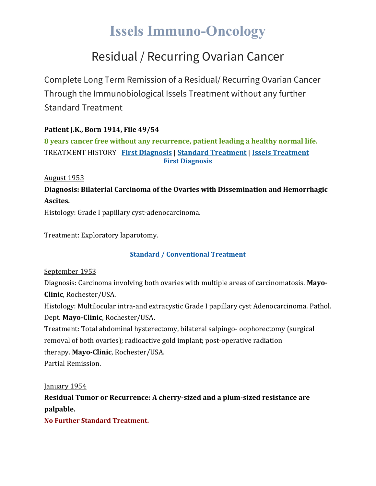# **Issels Immuno-Oncology**

## Residual / Recurring Ovarian Cancer

Complete Long Term Remission of a Residual/ Recurring Ovarian Cancer Through the Immunobiological Issels Treatment without any further Standard Treatment

### **Patient J.K., Born 1914, File 49/54**

**8 years cancer free without any recurrence, patient leading a healthy normal life.** TREATMENT HISTORY **First [Diagnosis](https://issels.com/cancer-cases/ovarian-1-resudial-recurring-ovarian-cancer/#First)** | **Standard [Treatment](https://issels.com/cancer-cases/ovarian-1-resudial-recurring-ovarian-cancer/#Standard)** | **Issels [Treatment](https://issels.com/cancer-cases/ovarian-1-resudial-recurring-ovarian-cancer/#Issels) First Diagnosis**

August 1953

**Diagnosis: Bilaterial Carcinoma of the Ovaries with Dissemination and Hemorrhagic Ascites.**

Histology: Grade I papillary cyst-adenocarcinoma.

Treatment: Exploratory laparotomy.

### **Standard / Conventional Treatment**

September 1953

Diagnosis: Carcinoma involving both ovaries with multiple areas of carcinomatosis. **Mayo-Clinic**, Rochester/USA.

Histology: Multilocular intra-and extracystic Grade I papillary cyst Adenocarcinoma. Pathol. Dept. **Mayo-Clinic**, Rochester/USA.

Treatment: Total abdominal hysterectomy, bilateral salpingo- oophorectomy (surgical removal of both ovaries); radioactive gold implant; post-operative radiation therapy. **Mayo-Clinic**, Rochester/USA.

Partial Remission.

January 1954

**Residual Tumor or Recurrence: A cherry-sized and a plum-sized resistance are palpable.**

**No Further Standard Treatment.**